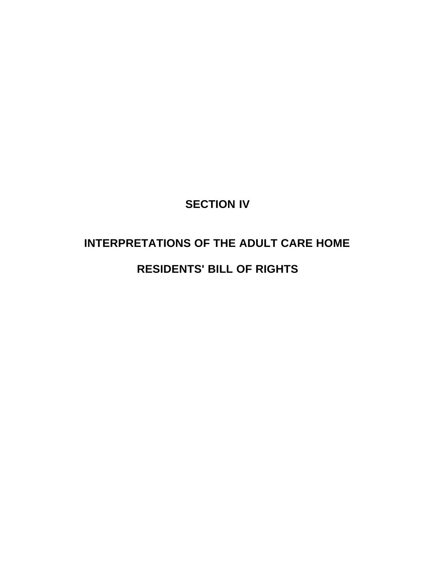# **SECTION IV**

# **INTERPRETATIONS OF THE ADULT CARE HOME**

# **RESIDENTS' BILL OF RIGHTS**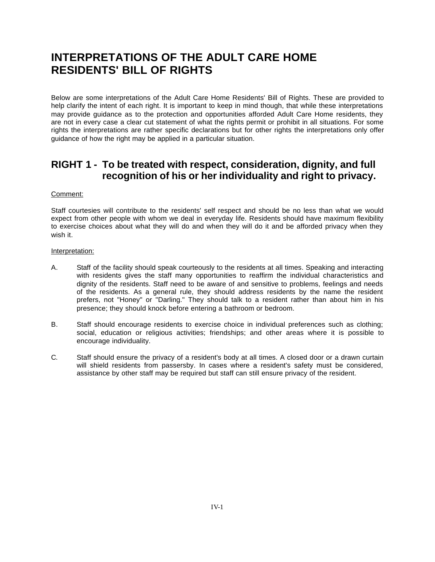# **INTERPRETATIONS OF THE ADULT CARE HOME RESIDENTS' BILL OF RIGHTS**

Below are some interpretations of the Adult Care Home Residents' Bill of Rights. These are provided to help clarify the intent of each right. It is important to keep in mind though, that while these interpretations may provide guidance as to the protection and opportunities afforded Adult Care Home residents, they are not in every case a clear cut statement of what the rights permit or prohibit in all situations. For some rights the interpretations are rather specific declarations but for other rights the interpretations only offer guidance of how the right may be applied in a particular situation.

# **RIGHT 1 - To be treated with respect, consideration, dignity, and full recognition of his or her individuality and right to privacy.**

### Comment:

Staff courtesies will contribute to the residents' self respect and should be no less than what we would expect from other people with whom we deal in everyday life. Residents should have maximum flexibility to exercise choices about what they will do and when they will do it and be afforded privacy when they wish it.

- A. Staff of the facility should speak courteously to the residents at all times. Speaking and interacting with residents gives the staff many opportunities to reaffirm the individual characteristics and dignity of the residents. Staff need to be aware of and sensitive to problems, feelings and needs of the residents. As a general rule, they should address residents by the name the resident prefers, not "Honey" or "Darling." They should talk to a resident rather than about him in his presence; they should knock before entering a bathroom or bedroom.
- B. Staff should encourage residents to exercise choice in individual preferences such as clothing; social, education or religious activities; friendships; and other areas where it is possible to encourage individuality.
- C. Staff should ensure the privacy of a resident's body at all times. A closed door or a drawn curtain will shield residents from passersby. In cases where a resident's safety must be considered, assistance by other staff may be required but staff can still ensure privacy of the resident.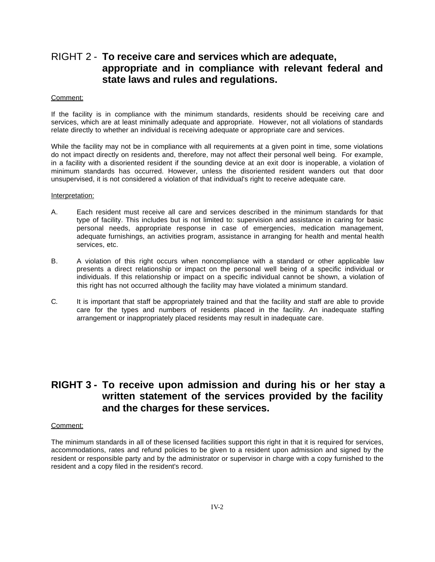### RIGHT 2 - **To receive care and services which are adequate, appropriate and in compliance with relevant federal and state laws and rules and regulations.**

#### Comment:

If the facility is in compliance with the minimum standards, residents should be receiving care and services, which are at least minimally adequate and appropriate. However, not all violations of standards relate directly to whether an individual is receiving adequate or appropriate care and services.

While the facility may not be in compliance with all requirements at a given point in time, some violations do not impact directly on residents and, therefore, may not affect their personal well being. For example, in a facility with a disoriented resident if the sounding device at an exit door is inoperable, a violation of minimum standards has occurred. However, unless the disoriented resident wanders out that door unsupervised, it is not considered a violation of that individual's right to receive adequate care.

#### Interpretation:

- A. Each resident must receive all care and services described in the minimum standards for that type of facility. This includes but is not limited to: supervision and assistance in caring for basic personal needs, appropriate response in case of emergencies, medication management, adequate furnishings, an activities program, assistance in arranging for health and mental health services, etc.
- B. A violation of this right occurs when noncompliance with a standard or other applicable law presents a direct relationship or impact on the personal well being of a specific individual or individuals. If this relationship or impact on a specific individual cannot be shown, a violation of this right has not occurred although the facility may have violated a minimum standard.
- C. It is important that staff be appropriately trained and that the facility and staff are able to provide care for the types and numbers of residents placed in the facility. An inadequate staffing arrangement or inappropriately placed residents may result in inadequate care.

### **RIGHT 3 - To receive upon admission and during his or her stay a written statement of the services provided by the facility and the charges for these services.**

### Comment:

The minimum standards in all of these licensed facilities support this right in that it is required for services, accommodations, rates and refund policies to be given to a resident upon admission and signed by the resident or responsible party and by the administrator or supervisor in charge with a copy furnished to the resident and a copy filed in the resident's record.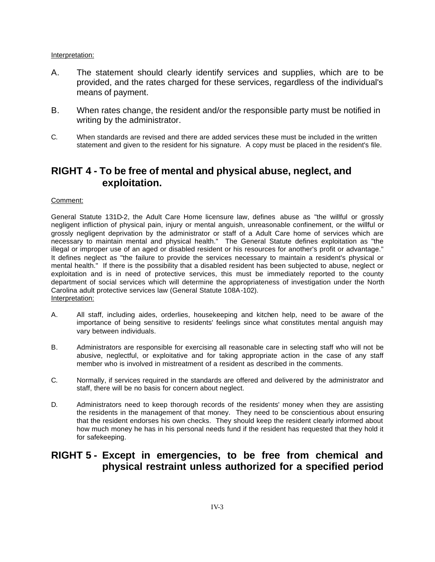### Interpretation:

- A. The statement should clearly identify services and supplies, which are to be provided, and the rates charged for these services, regardless of the individual's means of payment.
- B. When rates change, the resident and/or the responsible party must be notified in writing by the administrator.
- C. When standards are revised and there are added services these must be included in the written statement and given to the resident for his signature. A copy must be placed in the resident's file.

# **RIGHT 4 - To be free of mental and physical abuse, neglect, and exploitation.**

### Comment:

General Statute 131D-2, the Adult Care Home licensure law, defines abuse as "the willful or grossly negligent infliction of physical pain, injury or mental anguish, unreasonable confinement, or the willful or grossly negligent deprivation by the administrator or staff of a Adult Care home of services which are necessary to maintain mental and physical health." The General Statute defines exploitation as "the illegal or improper use of an aged or disabled resident or his resources for another's profit or advantage." It defines neglect as "the failure to provide the services necessary to maintain a resident's physical or mental health." If there is the possibility that a disabled resident has been subjected to abuse, neglect or exploitation and is in need of protective services, this must be immediately reported to the county department of social services which will determine the appropriateness of investigation under the North Carolina adult protective services law (General Statute 108A-102). Interpretation:

- A. All staff, including aides, orderlies, housekeeping and kitchen help, need to be aware of the importance of being sensitive to residents' feelings since what constitutes mental anguish may vary between individuals.
- B. Administrators are responsible for exercising all reasonable care in selecting staff who will not be abusive, neglectful, or exploitative and for taking appropriate action in the case of any staff member who is involved in mistreatment of a resident as described in the comments.
- C. Normally, if services required in the standards are offered and delivered by the administrator and staff, there will be no basis for concern about neglect.
- D. Administrators need to keep thorough records of the residents' money when they are assisting the residents in the management of that money. They need to be conscientious about ensuring that the resident endorses his own checks. They should keep the resident clearly informed about how much money he has in his personal needs fund if the resident has requested that they hold it for safekeeping.

### **RIGHT 5 - Except in emergencies, to be free from chemical and physical restraint unless authorized for a specified period**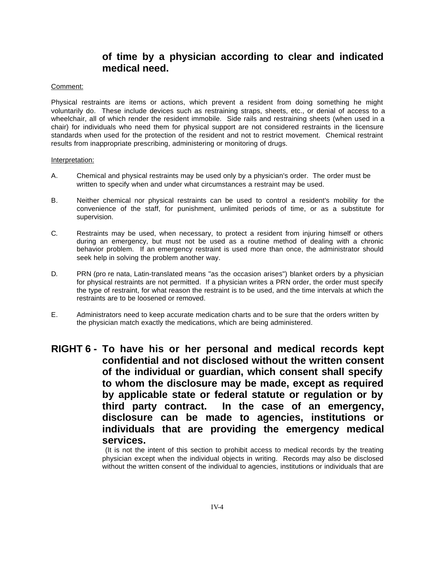# **of time by a physician according to clear and indicated medical need.**

### Comment:

Physical restraints are items or actions, which prevent a resident from doing something he might voluntarily do. These include devices such as restraining straps, sheets, etc., or denial of access to a wheelchair, all of which render the resident immobile. Side rails and restraining sheets (when used in a chair) for individuals who need them for physical support are not considered restraints in the licensure standards when used for the protection of the resident and not to restrict movement. Chemical restraint results from inappropriate prescribing, administering or monitoring of drugs.

Interpretation:

- A. Chemical and physical restraints may be used only by a physician's order. The order must be written to specify when and under what circumstances a restraint may be used.
- B. Neither chemical nor physical restraints can be used to control a resident's mobility for the convenience of the staff, for punishment, unlimited periods of time, or as a substitute for supervision.
- C. Restraints may be used, when necessary, to protect a resident from injuring himself or others during an emergency, but must not be used as a routine method of dealing with a chronic behavior problem. If an emergency restraint is used more than once, the administrator should seek help in solving the problem another way.
- D. PRN (pro re nata, Latin-translated means "as the occasion arises") blanket orders by a physician for physical restraints are not permitted. If a physician writes a PRN order, the order must specify the type of restraint, for what reason the restraint is to be used, and the time intervals at which the restraints are to be loosened or removed.
- E. Administrators need to keep accurate medication charts and to be sure that the orders written by the physician match exactly the medications, which are being administered.
- **RIGHT 6 - To have his or her personal and medical records kept confidential and not disclosed without the written consent of the individual or guardian, which consent shall specify to whom the disclosure may be made, except as required by applicable state or federal statute or regulation or by third party contract. In the case of an emergency, disclosure can be made to agencies, institutions or individuals that are providing the emergency medical services.**

 (It is not the intent of this section to prohibit access to medical records by the treating physician except when the individual objects in writing. Records may also be disclosed without the written consent of the individual to agencies, institutions or individuals that are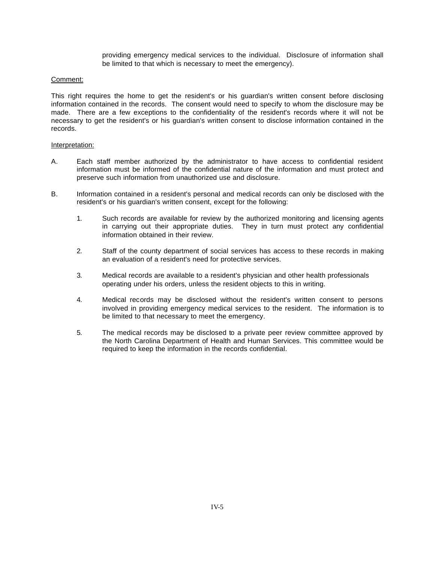providing emergency medical services to the individual. Disclosure of information shall be limited to that which is necessary to meet the emergency).

### Comment:

This right requires the home to get the resident's or his guardian's written consent before disclosing information contained in the records. The consent would need to specify to whom the disclosure may be made. There are a few exceptions to the confidentiality of the resident's records where it will not be necessary to get the resident's or his guardian's written consent to disclose information contained in the records.

- A. Each staff member authorized by the administrator to have access to confidential resident information must be informed of the confidential nature of the information and must protect and preserve such information from unauthorized use and disclosure.
- B. Information contained in a resident's personal and medical records can only be disclosed with the resident's or his guardian's written consent, except for the following:
	- 1. Such records are available for review by the authorized monitoring and licensing agents in carrying out their appropriate duties. They in turn must protect any confidential information obtained in their review.
	- 2. Staff of the county department of social services has access to these records in making an evaluation of a resident's need for protective services.
	- 3. Medical records are available to a resident's physician and other health professionals operating under his orders, unless the resident objects to this in writing.
	- 4. Medical records may be disclosed without the resident's written consent to persons involved in providing emergency medical services to the resident. The information is to be limited to that necessary to meet the emergency.
	- 5. The medical records may be disclosed to a private peer review committee approved by the North Carolina Department of Health and Human Services. This committee would be required to keep the information in the records confidential.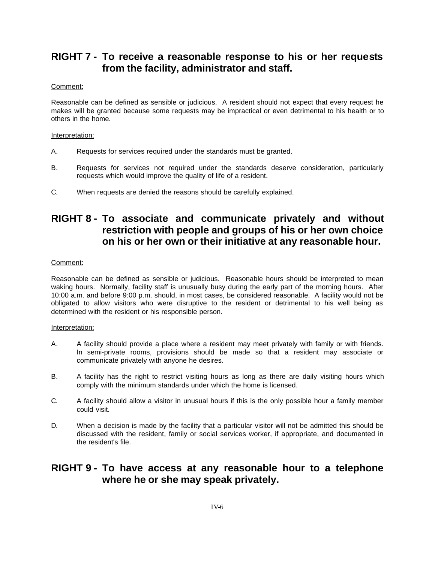# **RIGHT 7 - To receive a reasonable response to his or her requests from the facility, administrator and staff.**

### Comment:

Reasonable can be defined as sensible or judicious. A resident should not expect that every request he makes will be granted because some requests may be impractical or even detrimental to his health or to others in the home.

### Interpretation:

- A. Requests for services required under the standards must be granted.
- B. Requests for services not required under the standards deserve consideration, particularly requests which would improve the quality of life of a resident.
- C. When requests are denied the reasons should be carefully explained.

# **RIGHT 8 - To associate and communicate privately and without restriction with people and groups of his or her own choice on his or her own or their initiative at any reasonable hour.**

### Comment:

Reasonable can be defined as sensible or judicious. Reasonable hours should be interpreted to mean waking hours. Normally, facility staff is unusually busy during the early part of the morning hours. After 10:00 a.m. and before 9:00 p.m. should, in most cases, be considered reasonable. A facility would not be obligated to allow visitors who were disruptive to the resident or detrimental to his well being as determined with the resident or his responsible person.

### Interpretation:

- A. A facility should provide a place where a resident may meet privately with family or with friends. In semi-private rooms, provisions should be made so that a resident may associate or communicate privately with anyone he desires.
- B. A facility has the right to restrict visiting hours as long as there are daily visiting hours which comply with the minimum standards under which the home is licensed.
- C. A facility should allow a visitor in unusual hours if this is the only possible hour a family member could visit.
- D. When a decision is made by the facility that a particular visitor will not be admitted this should be discussed with the resident, family or social services worker, if appropriate, and documented in the resident's file.

### **RIGHT 9 - To have access at any reasonable hour to a telephone where he or she may speak privately.**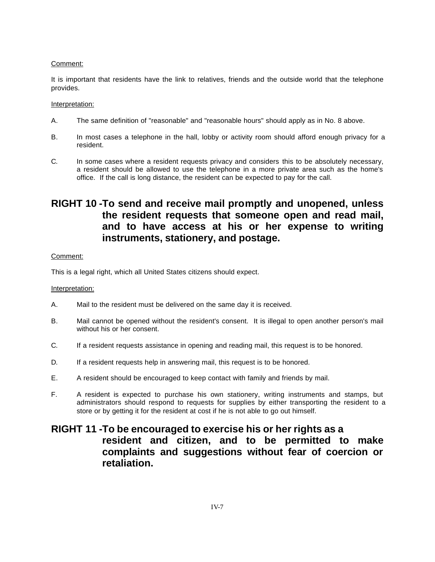### Comment:

It is important that residents have the link to relatives, friends and the outside world that the telephone provides.

### Interpretation:

- A. The same definition of "reasonable" and "reasonable hours" should apply as in No. 8 above.
- B. In most cases a telephone in the hall, lobby or activity room should afford enough privacy for a resident.
- C. In some cases where a resident requests privacy and considers this to be absolutely necessary, a resident should be allowed to use the telephone in a more private area such as the home's office. If the call is long distance, the resident can be expected to pay for the call.

# **RIGHT 10 -To send and receive mail promptly and unopened, unless the resident requests that someone open and read mail, and to have access at his or her expense to writing instruments, stationery, and postage.**

### Comment:

This is a legal right, which all United States citizens should expect.

### Interpretation:

- A. Mail to the resident must be delivered on the same day it is received.
- B. Mail cannot be opened without the resident's consent. It is illegal to open another person's mail without his or her consent.
- C. If a resident requests assistance in opening and reading mail, this request is to be honored.
- D. If a resident requests help in answering mail, this request is to be honored.
- E. A resident should be encouraged to keep contact with family and friends by mail.
- F. A resident is expected to purchase his own stationery, writing instruments and stamps, but administrators should respond to requests for supplies by either transporting the resident to a store or by getting it for the resident at cost if he is not able to go out himself.

## **RIGHT 11 -To be encouraged to exercise his or her rights as a resident and citizen, and to be permitted to make complaints and suggestions without fear of coercion or retaliation.**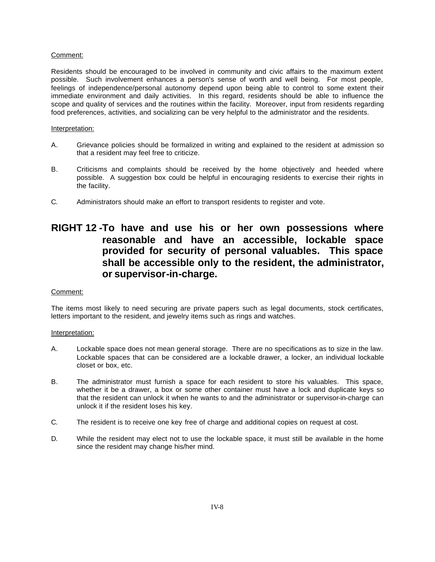### Comment:

Residents should be encouraged to be involved in community and civic affairs to the maximum extent possible. Such involvement enhances a person's sense of worth and well being. For most people, feelings of independence/personal autonomy depend upon being able to control to some extent their immediate environment and daily activities. In this regard, residents should be able to influence the scope and quality of services and the routines within the facility. Moreover, input from residents regarding food preferences, activities, and socializing can be very helpful to the administrator and the residents.

### Interpretation:

- A. Grievance policies should be formalized in writing and explained to the resident at admission so that a resident may feel free to criticize.
- B. Criticisms and complaints should be received by the home objectively and heeded where possible. A suggestion box could be helpful in encouraging residents to exercise their rights in the facility.
- C. Administrators should make an effort to transport residents to register and vote.

# **RIGHT 12 -To have and use his or her own possessions where reasonable and have an accessible, lockable space provided for security of personal valuables. This space shall be accessible only to the resident, the administrator, or supervisor-in-charge.**

### Comment:

The items most likely to need securing are private papers such as legal documents, stock certificates, letters important to the resident, and jewelry items such as rings and watches.

- A. Lockable space does not mean general storage. There are no specifications as to size in the law. Lockable spaces that can be considered are a lockable drawer, a locker, an individual lockable closet or box, etc.
- B. The administrator must furnish a space for each resident to store his valuables. This space, whether it be a drawer, a box or some other container must have a lock and duplicate keys so that the resident can unlock it when he wants to and the administrator or supervisor-in-charge can unlock it if the resident loses his key.
- C. The resident is to receive one key free of charge and additional copies on request at cost.
- D. While the resident may elect not to use the lockable space, it must still be available in the home since the resident may change his/her mind.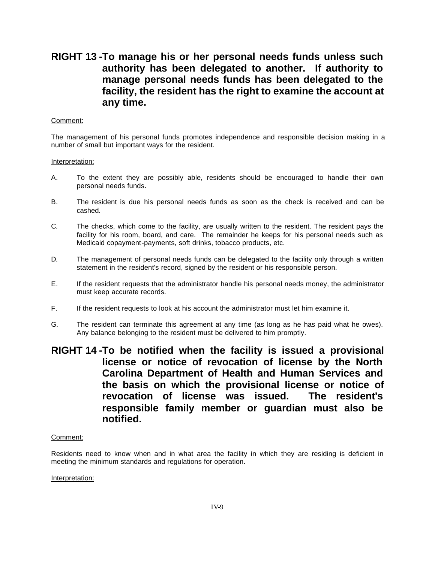# **RIGHT 13 -To manage his or her personal needs funds unless such authority has been delegated to another. If authority to manage personal needs funds has been delegated to the facility, the resident has the right to examine the account at any time.**

### Comment:

The management of his personal funds promotes independence and responsible decision making in a number of small but important ways for the resident.

#### Interpretation:

- A. To the extent they are possibly able, residents should be encouraged to handle their own personal needs funds.
- B. The resident is due his personal needs funds as soon as the check is received and can be cashed.
- C. The checks, which come to the facility, are usually written to the resident. The resident pays the facility for his room, board, and care. The remainder he keeps for his personal needs such as Medicaid copayment-payments, soft drinks, tobacco products, etc.
- D. The management of personal needs funds can be delegated to the facility only through a written statement in the resident's record, signed by the resident or his responsible person.
- E. If the resident requests that the administrator handle his personal needs money, the administrator must keep accurate records.
- F. If the resident requests to look at his account the administrator must let him examine it.
- G. The resident can terminate this agreement at any time (as long as he has paid what he owes). Any balance belonging to the resident must be delivered to him promptly.
- **RIGHT 14 -To be notified when the facility is issued a provisional license or notice of revocation of license by the North Carolina Department of Health and Human Services and the basis on which the provisional license or notice of revocation of license was issued. The resident's responsible family member or guardian must also be notified.**

### Comment:

Residents need to know when and in what area the facility in which they are residing is deficient in meeting the minimum standards and regulations for operation.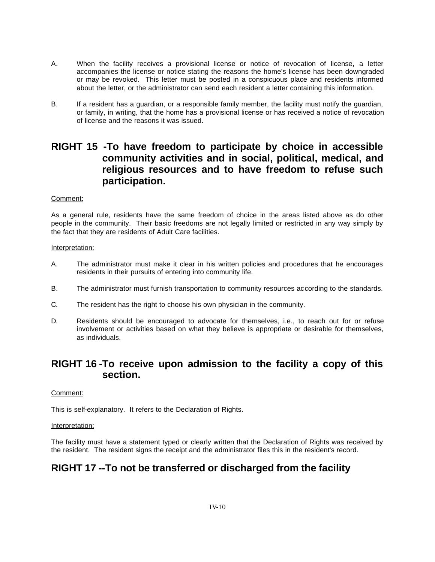- A. When the facility receives a provisional license or notice of revocation of license, a letter accompanies the license or notice stating the reasons the home's license has been downgraded or may be revoked. This letter must be posted in a conspicuous place and residents informed about the letter, or the administrator can send each resident a letter containing this information.
- B. If a resident has a guardian, or a responsible family member, the facility must notify the guardian, or family, in writing, that the home has a provisional license or has received a notice of revocation of license and the reasons it was issued.

# **RIGHT 15 -To have freedom to participate by choice in accessible community activities and in social, political, medical, and religious resources and to have freedom to refuse such participation.**

### Comment:

As a general rule, residents have the same freedom of choice in the areas listed above as do other people in the community. Their basic freedoms are not legally limited or restricted in any way simply by the fact that they are residents of Adult Care facilities.

### Interpretation:

- A. The administrator must make it clear in his written policies and procedures that he encourages residents in their pursuits of entering into community life.
- B. The administrator must furnish transportation to community resources according to the standards.
- C. The resident has the right to choose his own physician in the community.
- D. Residents should be encouraged to advocate for themselves, i.e., to reach out for or refuse involvement or activities based on what they believe is appropriate or desirable for themselves, as individuals.

### **RIGHT 16 -To receive upon admission to the facility a copy of this section.**

### Comment:

This is self-explanatory. It refers to the Declaration of Rights.

### Interpretation:

The facility must have a statement typed or clearly written that the Declaration of Rights was received by the resident. The resident signs the receipt and the administrator files this in the resident's record.

# **RIGHT 17 --To not be transferred or discharged from the facility**